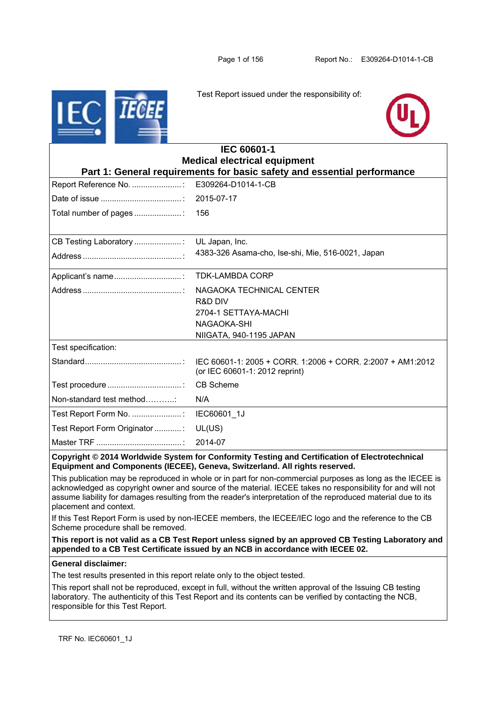

Test Report issued under the responsibility of:



| <b>IEC 60601-1</b>                                                                                                                                                            |                                                   |  |  |  |
|-------------------------------------------------------------------------------------------------------------------------------------------------------------------------------|---------------------------------------------------|--|--|--|
| <b>Medical electrical equipment</b>                                                                                                                                           |                                                   |  |  |  |
| Part 1: General requirements for basic safety and essential performance                                                                                                       |                                                   |  |  |  |
| Report Reference No.                                                                                                                                                          | E309264-D1014-1-CB                                |  |  |  |
|                                                                                                                                                                               | 2015-07-17                                        |  |  |  |
| Total number of pages                                                                                                                                                         | 156                                               |  |  |  |
|                                                                                                                                                                               |                                                   |  |  |  |
| CB Testing Laboratory                                                                                                                                                         | UL Japan, Inc.                                    |  |  |  |
|                                                                                                                                                                               | 4383-326 Asama-cho, Ise-shi, Mie, 516-0021, Japan |  |  |  |
|                                                                                                                                                                               | <b>TDK-LAMBDA CORP</b>                            |  |  |  |
|                                                                                                                                                                               | NAGAOKA TECHNICAL CENTER                          |  |  |  |
|                                                                                                                                                                               | <b>R&amp;D DIV</b>                                |  |  |  |
|                                                                                                                                                                               | 2704-1 SETTAYA-MACHI                              |  |  |  |
|                                                                                                                                                                               | NAGAOKA-SHI                                       |  |  |  |
|                                                                                                                                                                               | NIIGATA, 940-1195 JAPAN                           |  |  |  |
| Test specification:                                                                                                                                                           |                                                   |  |  |  |
|                                                                                                                                                                               | (or IEC 60601-1: 2012 reprint)                    |  |  |  |
|                                                                                                                                                                               | <b>CB Scheme</b>                                  |  |  |  |
| Non-standard test method                                                                                                                                                      | N/A                                               |  |  |  |
| Test Report Form No. :                                                                                                                                                        | IEC60601 1J                                       |  |  |  |
| Test Report Form Originator :                                                                                                                                                 | UL(US)                                            |  |  |  |
|                                                                                                                                                                               | 2014-07                                           |  |  |  |
| Copyright © 2014 Worldwide System for Conformity Testing and Certification of Electrotechnical<br>Equipment and Components (IECEE), Geneva, Switzerland. All rights reserved. |                                                   |  |  |  |

This publication may be reproduced in whole or in part for non-commercial purposes as long as the IECEE is acknowledged as copyright owner and source of the material. IECEE takes no responsibility for and will not assume liability for damages resulting from the reader's interpretation of the reproduced material due to its placement and context.

If this Test Report Form is used by non-IECEE members, the IECEE/IEC logo and the reference to the CB Scheme procedure shall be removed.

**This report is not valid as a CB Test Report unless signed by an approved CB Testing Laboratory and appended to a CB Test Certificate issued by an NCB in accordance with IECEE 02.** 

# **General disclaimer:**

The test results presented in this report relate only to the object tested.

This report shall not be reproduced, except in full, without the written approval of the Issuing CB testing laboratory. The authenticity of this Test Report and its contents can be verified by contacting the NCB, responsible for this Test Report.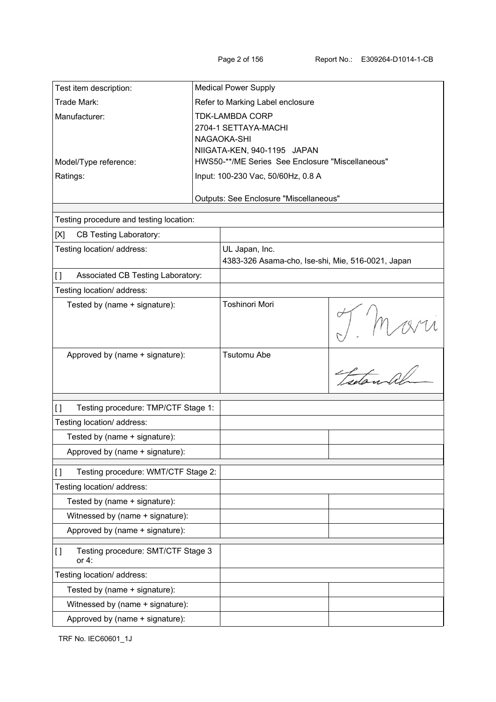| Test item description:                                                      |                                  | <b>Medical Power Supply</b>                                                     |                                  |
|-----------------------------------------------------------------------------|----------------------------------|---------------------------------------------------------------------------------|----------------------------------|
| Trade Mark:                                                                 | Refer to Marking Label enclosure |                                                                                 |                                  |
| Manufacturer:                                                               | <b>TDK-LAMBDA CORP</b>           |                                                                                 |                                  |
|                                                                             |                                  | 2704-1 SETTAYA-MACHI                                                            |                                  |
|                                                                             |                                  | NAGAOKA-SHI                                                                     |                                  |
| Model/Type reference:                                                       |                                  | NIIGATA-KEN, 940-1195 JAPAN<br>HWS50-**/ME Series See Enclosure "Miscellaneous" |                                  |
| Ratings:                                                                    |                                  | Input: 100-230 Vac, 50/60Hz, 0.8 A                                              |                                  |
|                                                                             |                                  |                                                                                 |                                  |
|                                                                             |                                  | Outputs: See Enclosure "Miscellaneous"                                          |                                  |
|                                                                             |                                  |                                                                                 |                                  |
| Testing procedure and testing location:                                     |                                  |                                                                                 |                                  |
| [X]<br><b>CB Testing Laboratory:</b>                                        |                                  |                                                                                 |                                  |
| Testing location/ address:                                                  |                                  | UL Japan, Inc.                                                                  |                                  |
|                                                                             |                                  | 4383-326 Asama-cho, Ise-shi, Mie, 516-0021, Japan                               |                                  |
| Associated CB Testing Laboratory:<br>$\begin{array}{c} \square \end{array}$ |                                  |                                                                                 |                                  |
| Testing location/ address:                                                  |                                  |                                                                                 |                                  |
| Tested by (name + signature):                                               |                                  | Toshinori Mori                                                                  |                                  |
|                                                                             |                                  |                                                                                 |                                  |
| Approved by (name + signature):                                             |                                  | Tsutomu Abe                                                                     |                                  |
|                                                                             |                                  |                                                                                 | $\frac{1}{\sqrt{1-\frac{1}{2}}}$ |
| Testing procedure: TMP/CTF Stage 1:<br>$\lceil$                             |                                  |                                                                                 |                                  |
| Testing location/ address:                                                  |                                  |                                                                                 |                                  |
| Tested by (name + signature):                                               |                                  |                                                                                 |                                  |
| Approved by (name + signature):                                             |                                  |                                                                                 |                                  |
|                                                                             |                                  |                                                                                 |                                  |
| Testing procedure: WMT/CTF Stage 2:<br>$\mathfrak{g}$                       |                                  |                                                                                 |                                  |
| Testing location/ address:                                                  |                                  |                                                                                 |                                  |
| Tested by (name + signature):                                               |                                  |                                                                                 |                                  |
| Witnessed by (name + signature):                                            |                                  |                                                                                 |                                  |
| Approved by (name + signature):                                             |                                  |                                                                                 |                                  |
| Testing procedure: SMT/CTF Stage 3<br>IJ<br>or $4$ :                        |                                  |                                                                                 |                                  |
| Testing location/ address:                                                  |                                  |                                                                                 |                                  |
| Tested by (name + signature):                                               |                                  |                                                                                 |                                  |
| Witnessed by (name + signature):                                            |                                  |                                                                                 |                                  |
| Approved by (name + signature):                                             |                                  |                                                                                 |                                  |

TRF No. IEC60601\_1J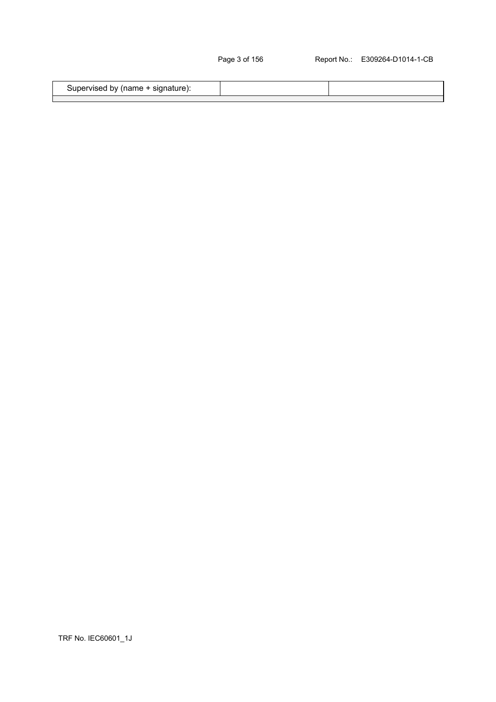| Supervised by (name + signature): |  |
|-----------------------------------|--|
|                                   |  |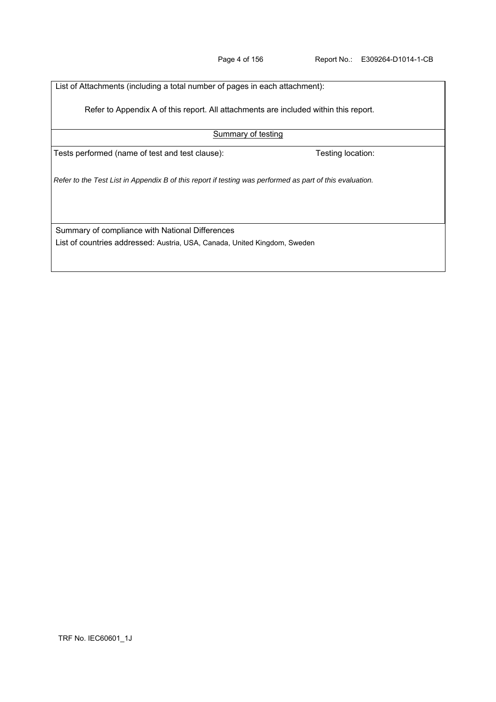| List of Attachments (including a total number of pages in each attachment):                              |                   |  |  |  |
|----------------------------------------------------------------------------------------------------------|-------------------|--|--|--|
| Refer to Appendix A of this report. All attachments are included within this report.                     |                   |  |  |  |
| <b>Summary of testing</b>                                                                                |                   |  |  |  |
| Tests performed (name of test and test clause):                                                          | Testing location: |  |  |  |
| Refer to the Test List in Appendix B of this report if testing was performed as part of this evaluation. |                   |  |  |  |
| Summary of compliance with National Differences                                                          |                   |  |  |  |
| List of countries addressed: Austria, USA, Canada, United Kingdom, Sweden                                |                   |  |  |  |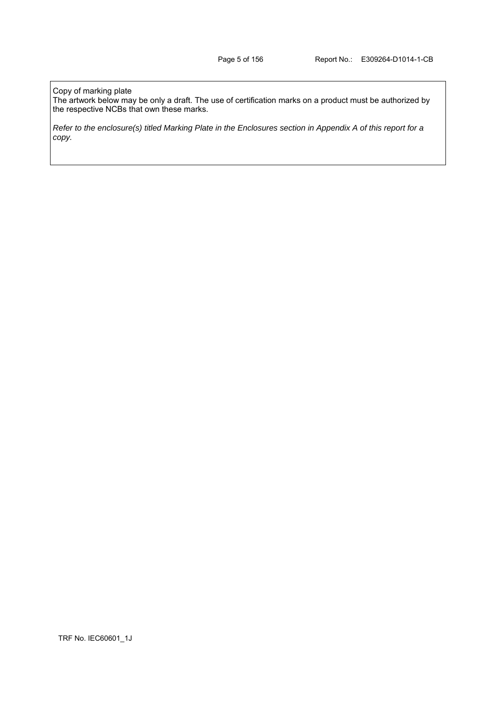#### Copy of marking plate

The artwork below may be only a draft. The use of certification marks on a product must be authorized by the respective NCBs that own these marks.

*Refer to the enclosure(s) titled Marking Plate in the Enclosures section in Appendix A of this report for a copy.*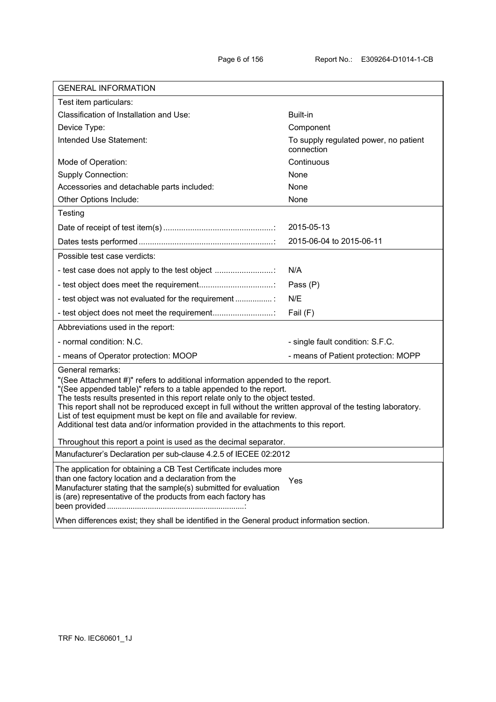| Test item particulars:<br>Classification of Installation and Use:<br>Built-in<br>Device Type:<br>Component<br>Intended Use Statement:<br>To supply regulated power, no patient<br>connection<br>Continuous<br>Mode of Operation:<br><b>Supply Connection:</b><br>None<br>Accessories and detachable parts included:<br>None<br>Other Options Include:<br>None<br>Testing<br>2015-05-13<br>2015-06-04 to 2015-06-11<br>Possible test case verdicts:<br>- test case does not apply to the test object<br>N/A<br>Pass (P)<br>- test object was not evaluated for the requirement<br>N/E<br>- test object does not meet the requirement<br>Fail (F)<br>Abbreviations used in the report:<br>- normal condition: N.C.<br>- single fault condition: S.F.C.<br>- means of Operator protection: MOOP<br>- means of Patient protection: MOPP<br>General remarks:<br>"(See Attachment #)" refers to additional information appended to the report.<br>"(See appended table)" refers to a table appended to the report.<br>The tests results presented in this report relate only to the object tested.<br>This report shall not be reproduced except in full without the written approval of the testing laboratory.<br>List of test equipment must be kept on file and available for review.<br>Additional test data and/or information provided in the attachments to this report.<br>Throughout this report a point is used as the decimal separator.<br>Manufacturer's Declaration per sub-clause 4.2.5 of IECEE 02:2012 | <b>GENERAL INFORMATION</b>                                        |  |  |  |
|--------------------------------------------------------------------------------------------------------------------------------------------------------------------------------------------------------------------------------------------------------------------------------------------------------------------------------------------------------------------------------------------------------------------------------------------------------------------------------------------------------------------------------------------------------------------------------------------------------------------------------------------------------------------------------------------------------------------------------------------------------------------------------------------------------------------------------------------------------------------------------------------------------------------------------------------------------------------------------------------------------------------------------------------------------------------------------------------------------------------------------------------------------------------------------------------------------------------------------------------------------------------------------------------------------------------------------------------------------------------------------------------------------------------------------------------------------------------------------------------------------------------|-------------------------------------------------------------------|--|--|--|
|                                                                                                                                                                                                                                                                                                                                                                                                                                                                                                                                                                                                                                                                                                                                                                                                                                                                                                                                                                                                                                                                                                                                                                                                                                                                                                                                                                                                                                                                                                                    |                                                                   |  |  |  |
|                                                                                                                                                                                                                                                                                                                                                                                                                                                                                                                                                                                                                                                                                                                                                                                                                                                                                                                                                                                                                                                                                                                                                                                                                                                                                                                                                                                                                                                                                                                    |                                                                   |  |  |  |
|                                                                                                                                                                                                                                                                                                                                                                                                                                                                                                                                                                                                                                                                                                                                                                                                                                                                                                                                                                                                                                                                                                                                                                                                                                                                                                                                                                                                                                                                                                                    |                                                                   |  |  |  |
|                                                                                                                                                                                                                                                                                                                                                                                                                                                                                                                                                                                                                                                                                                                                                                                                                                                                                                                                                                                                                                                                                                                                                                                                                                                                                                                                                                                                                                                                                                                    |                                                                   |  |  |  |
|                                                                                                                                                                                                                                                                                                                                                                                                                                                                                                                                                                                                                                                                                                                                                                                                                                                                                                                                                                                                                                                                                                                                                                                                                                                                                                                                                                                                                                                                                                                    |                                                                   |  |  |  |
|                                                                                                                                                                                                                                                                                                                                                                                                                                                                                                                                                                                                                                                                                                                                                                                                                                                                                                                                                                                                                                                                                                                                                                                                                                                                                                                                                                                                                                                                                                                    |                                                                   |  |  |  |
|                                                                                                                                                                                                                                                                                                                                                                                                                                                                                                                                                                                                                                                                                                                                                                                                                                                                                                                                                                                                                                                                                                                                                                                                                                                                                                                                                                                                                                                                                                                    |                                                                   |  |  |  |
|                                                                                                                                                                                                                                                                                                                                                                                                                                                                                                                                                                                                                                                                                                                                                                                                                                                                                                                                                                                                                                                                                                                                                                                                                                                                                                                                                                                                                                                                                                                    |                                                                   |  |  |  |
|                                                                                                                                                                                                                                                                                                                                                                                                                                                                                                                                                                                                                                                                                                                                                                                                                                                                                                                                                                                                                                                                                                                                                                                                                                                                                                                                                                                                                                                                                                                    |                                                                   |  |  |  |
|                                                                                                                                                                                                                                                                                                                                                                                                                                                                                                                                                                                                                                                                                                                                                                                                                                                                                                                                                                                                                                                                                                                                                                                                                                                                                                                                                                                                                                                                                                                    |                                                                   |  |  |  |
|                                                                                                                                                                                                                                                                                                                                                                                                                                                                                                                                                                                                                                                                                                                                                                                                                                                                                                                                                                                                                                                                                                                                                                                                                                                                                                                                                                                                                                                                                                                    |                                                                   |  |  |  |
|                                                                                                                                                                                                                                                                                                                                                                                                                                                                                                                                                                                                                                                                                                                                                                                                                                                                                                                                                                                                                                                                                                                                                                                                                                                                                                                                                                                                                                                                                                                    |                                                                   |  |  |  |
|                                                                                                                                                                                                                                                                                                                                                                                                                                                                                                                                                                                                                                                                                                                                                                                                                                                                                                                                                                                                                                                                                                                                                                                                                                                                                                                                                                                                                                                                                                                    |                                                                   |  |  |  |
|                                                                                                                                                                                                                                                                                                                                                                                                                                                                                                                                                                                                                                                                                                                                                                                                                                                                                                                                                                                                                                                                                                                                                                                                                                                                                                                                                                                                                                                                                                                    |                                                                   |  |  |  |
|                                                                                                                                                                                                                                                                                                                                                                                                                                                                                                                                                                                                                                                                                                                                                                                                                                                                                                                                                                                                                                                                                                                                                                                                                                                                                                                                                                                                                                                                                                                    |                                                                   |  |  |  |
|                                                                                                                                                                                                                                                                                                                                                                                                                                                                                                                                                                                                                                                                                                                                                                                                                                                                                                                                                                                                                                                                                                                                                                                                                                                                                                                                                                                                                                                                                                                    |                                                                   |  |  |  |
|                                                                                                                                                                                                                                                                                                                                                                                                                                                                                                                                                                                                                                                                                                                                                                                                                                                                                                                                                                                                                                                                                                                                                                                                                                                                                                                                                                                                                                                                                                                    |                                                                   |  |  |  |
|                                                                                                                                                                                                                                                                                                                                                                                                                                                                                                                                                                                                                                                                                                                                                                                                                                                                                                                                                                                                                                                                                                                                                                                                                                                                                                                                                                                                                                                                                                                    |                                                                   |  |  |  |
|                                                                                                                                                                                                                                                                                                                                                                                                                                                                                                                                                                                                                                                                                                                                                                                                                                                                                                                                                                                                                                                                                                                                                                                                                                                                                                                                                                                                                                                                                                                    |                                                                   |  |  |  |
|                                                                                                                                                                                                                                                                                                                                                                                                                                                                                                                                                                                                                                                                                                                                                                                                                                                                                                                                                                                                                                                                                                                                                                                                                                                                                                                                                                                                                                                                                                                    |                                                                   |  |  |  |
|                                                                                                                                                                                                                                                                                                                                                                                                                                                                                                                                                                                                                                                                                                                                                                                                                                                                                                                                                                                                                                                                                                                                                                                                                                                                                                                                                                                                                                                                                                                    |                                                                   |  |  |  |
| than one factory location and a declaration from the<br>Yes<br>Manufacturer stating that the sample(s) submitted for evaluation<br>is (are) representative of the products from each factory has                                                                                                                                                                                                                                                                                                                                                                                                                                                                                                                                                                                                                                                                                                                                                                                                                                                                                                                                                                                                                                                                                                                                                                                                                                                                                                                   | The application for obtaining a CB Test Certificate includes more |  |  |  |
| When differences exist; they shall be identified in the General product information section.                                                                                                                                                                                                                                                                                                                                                                                                                                                                                                                                                                                                                                                                                                                                                                                                                                                                                                                                                                                                                                                                                                                                                                                                                                                                                                                                                                                                                       |                                                                   |  |  |  |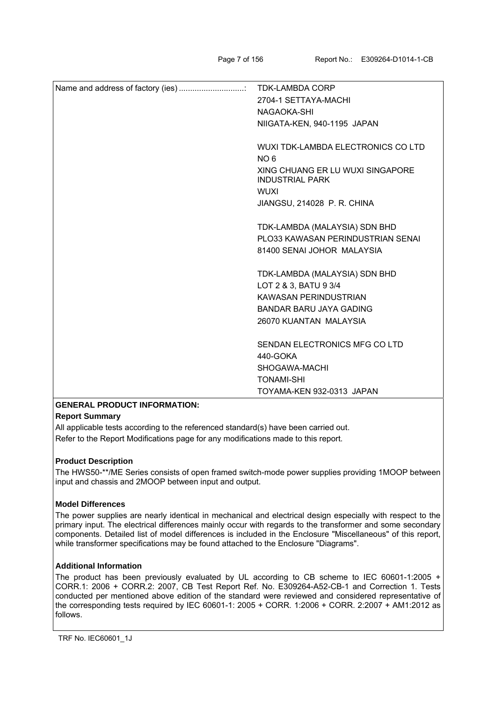|                | 2704-1 SETTAYA-MACHI                                       |
|----------------|------------------------------------------------------------|
|                | NAGAOKA-SHI                                                |
|                | NIIGATA-KEN, 940-1195 JAPAN                                |
|                |                                                            |
|                | WUXI TDK-LAMBDA ELECTRONICS CO LTD                         |
|                | NO <sub>6</sub>                                            |
|                | XING CHUANG ER LU WUXI SINGAPORE<br><b>INDUSTRIAL PARK</b> |
|                | <b>WUXI</b>                                                |
|                | JIANGSU, 214028 P. R. CHINA                                |
|                |                                                            |
|                | TDK-LAMBDA (MALAYSIA) SDN BHD                              |
|                | PLO33 KAWASAN PERINDUSTRIAN SENAI                          |
|                | 81400 SENAI JOHOR MALAYSIA                                 |
|                |                                                            |
|                | TDK-LAMBDA (MALAYSIA) SDN BHD                              |
|                | LOT 2 & 3, BATU 9 3/4                                      |
|                | KAWASAN PERINDUSTRIAN                                      |
|                | <b>BANDAR BARU JAYA GADING</b>                             |
|                | 26070 KUANTAN MALAYSIA                                     |
|                |                                                            |
|                | SENDAN ELECTRONICS MFG CO LTD                              |
|                | 440-GOKA                                                   |
|                | SHOGAWA-MACHI                                              |
|                | <b>TONAMI-SHI</b>                                          |
|                | TOYAMA-KEN 932-0313 JAPAN                                  |
| $\blacksquare$ |                                                            |

### **GENERAL PRODUCT INFORMATION:**

### **Report Summary**

All applicable tests according to the referenced standard(s) have been carried out. Refer to the Report Modifications page for any modifications made to this report.

### **Product Description**

The HWS50-\*\*/ME Series consists of open framed switch-mode power supplies providing 1MOOP between input and chassis and 2MOOP between input and output.

### **Model Differences**

The power supplies are nearly identical in mechanical and electrical design especially with respect to the primary input. The electrical differences mainly occur with regards to the transformer and some secondary components. Detailed list of model differences is included in the Enclosure "Miscellaneous" of this report, while transformer specifications may be found attached to the Enclosure "Diagrams".

### **Additional Information**

The product has been previously evaluated by UL according to CB scheme to IEC 60601-1:2005 + CORR.1: 2006 + CORR.2: 2007, CB Test Report Ref. No. E309264-A52-CB-1 and Correction 1. Tests conducted per mentioned above edition of the standard were reviewed and considered representative of the corresponding tests required by IEC 60601-1: 2005 + CORR. 1:2006 + CORR. 2:2007 + AM1:2012 as follows.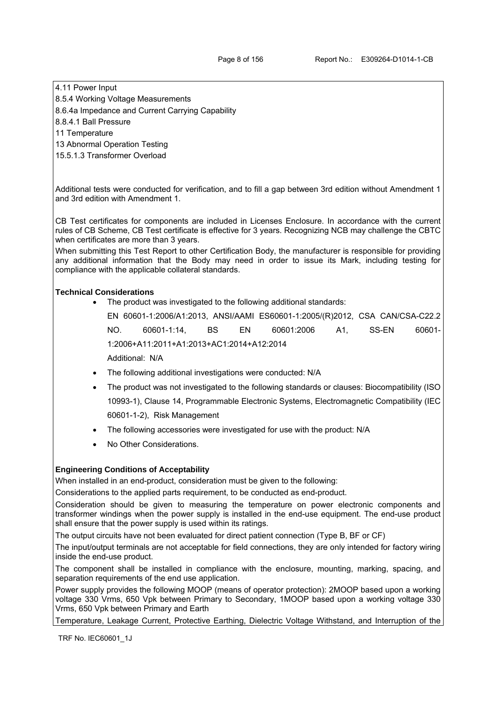## 4.11 Power Input

- 8.5.4 Working Voltage Measurements
- 8.6.4a Impedance and Current Carrying Capability

8.8.4.1 Ball Pressure

- 11 Temperature
- 13 Abnormal Operation Testing
- 15.5.1.3 Transformer Overload

Additional tests were conducted for verification, and to fill a gap between 3rd edition without Amendment 1 and 3rd edition with Amendment 1.

CB Test certificates for components are included in Licenses Enclosure. In accordance with the current rules of CB Scheme, CB Test certificate is effective for 3 years. Recognizing NCB may challenge the CBTC when certificates are more than 3 years.

When submitting this Test Report to other Certification Body, the manufacturer is responsible for providing any additional information that the Body may need in order to issue its Mark, including testing for compliance with the applicable collateral standards.

### **Technical Considerations**

The product was investigated to the following additional standards:

EN 60601-1:2006/A1:2013, ANSI/AAMI ES60601-1:2005/(R)2012, CSA CAN/CSA-C22.2 NO. 60601-1:14, BS EN 60601:2006 A1, SS-EN 60601- 1:2006+A11:2011+A1:2013+AC1:2014+A12:2014 Additional: N/A

- The following additional investigations were conducted: N/A
- The product was not investigated to the following standards or clauses: Biocompatibility (ISO 10993-1), Clause 14, Programmable Electronic Systems, Electromagnetic Compatibility (IEC 60601-1-2), Risk Management
- The following accessories were investigated for use with the product: N/A
- No Other Considerations.

# **Engineering Conditions of Acceptability**

When installed in an end-product, consideration must be given to the following:

Considerations to the applied parts requirement, to be conducted as end-product.

Consideration should be given to measuring the temperature on power electronic components and transformer windings when the power supply is installed in the end-use equipment. The end-use product shall ensure that the power supply is used within its ratings.

The output circuits have not been evaluated for direct patient connection (Type B, BF or CF)

The input/output terminals are not acceptable for field connections, they are only intended for factory wiring inside the end-use product.

The component shall be installed in compliance with the enclosure, mounting, marking, spacing, and separation requirements of the end use application.

Power supply provides the following MOOP (means of operator protection): 2MOOP based upon a working voltage 330 Vrms, 650 Vpk between Primary to Secondary, 1MOOP based upon a working voltage 330 Vrms, 650 Vpk between Primary and Earth

Temperature, Leakage Current, Protective Earthing, Dielectric Voltage Withstand, and Interruption of the

TRF No. IEC60601\_1J